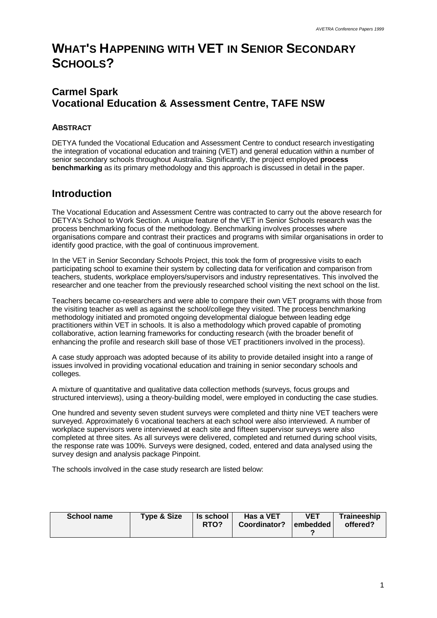# **WHAT'S HAPPENING WITH VET IN SENIOR SECONDARY SCHOOLS?**

# **Carmel Spark Vocational Education & Assessment Centre, TAFE NSW**

## **ABSTRACT**

DETYA funded the Vocational Education and Assessment Centre to conduct research investigating the integration of vocational education and training (VET) and general education within a number of senior secondary schools throughout Australia. Significantly, the project employed **process benchmarking** as its primary methodology and this approach is discussed in detail in the paper.

# **Introduction**

The Vocational Education and Assessment Centre was contracted to carry out the above research for DETYA's School to Work Section. A unique feature of the VET in Senior Schools research was the process benchmarking focus of the methodology. Benchmarking involves processes where organisations compare and contrast their practices and programs with similar organisations in order to identify good practice, with the goal of continuous improvement.

In the VET in Senior Secondary Schools Project, this took the form of progressive visits to each participating school to examine their system by collecting data for verification and comparison from teachers, students, workplace employers/supervisors and industry representatives. This involved the researcher and one teacher from the previously researched school visiting the next school on the list.

Teachers became co-researchers and were able to compare their own VET programs with those from the visiting teacher as well as against the school/college they visited. The process benchmarking methodology initiated and promoted ongoing developmental dialogue between leading edge practitioners within VET in schools. It is also a methodology which proved capable of promoting collaborative, action learning frameworks for conducting research (with the broader benefit of enhancing the profile and research skill base of those VET practitioners involved in the process).

A case study approach was adopted because of its ability to provide detailed insight into a range of issues involved in providing vocational education and training in senior secondary schools and colleges.

A mixture of quantitative and qualitative data collection methods (surveys, focus groups and structured interviews), using a theory-building model, were employed in conducting the case studies.

One hundred and seventy seven student surveys were completed and thirty nine VET teachers were surveyed. Approximately 6 vocational teachers at each school were also interviewed. A number of workplace supervisors were interviewed at each site and fifteen supervisor surveys were also completed at three sites. As all surveys were delivered, completed and returned during school visits, the response rate was 100%. Surveys were designed, coded, entered and data analysed using the survey design and analysis package Pinpoint.

The schools involved in the case study research are listed below:

| <b>School name</b> | <b>Type &amp; Size</b> | Is school<br>RTO? | Has a VET<br>Coordinator? | <b>VET</b><br>lembedded l<br>◠ | Traineeship<br>offered? |
|--------------------|------------------------|-------------------|---------------------------|--------------------------------|-------------------------|
|--------------------|------------------------|-------------------|---------------------------|--------------------------------|-------------------------|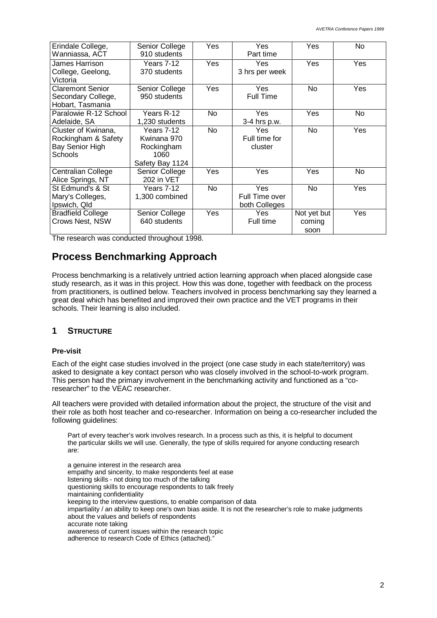| Erindale College,<br>Wanniassa, ACT                                      | Senior College<br>910 students                                     | Yes        | Yes<br>Part time                       | Yes                           | No         |
|--------------------------------------------------------------------------|--------------------------------------------------------------------|------------|----------------------------------------|-------------------------------|------------|
| James Harrison<br>College, Geelong,<br>Victoria                          | Years 7-12<br>370 students                                         | <b>Yes</b> | <b>Yes</b><br>3 hrs per week           | <b>Yes</b>                    | <b>Yes</b> |
| <b>Claremont Senior</b><br>Secondary College,<br>Hobart, Tasmania        | Senior College<br>950 students                                     | Yes        | Yes<br>Full Time                       | <b>No</b>                     | Yes        |
| Paralowie R-12 School<br>Adelaide, SA                                    | Years R-12<br>1,230 students                                       | No         | Yes<br>3-4 hrs p.w.                    | Yes                           | No         |
| Cluster of Kwinana,<br>Rockingham & Safety<br>Bay Senior High<br>Schools | Years 7-12<br>Kwinana 970<br>Rockingham<br>1060<br>Safety Bay 1124 | <b>No</b>  | Yes<br>Full time for<br>cluster        | No.                           | Yes        |
| Centralian College<br>Alice Springs, NT                                  | Senior College<br>202 in VET                                       | Yes        | Yes                                    | Yes                           | <b>No</b>  |
| St Edmund's & St<br>Mary's Colleges,<br>Ipswich, Qld                     | Years 7-12<br>1,300 combined                                       | No         | Yes<br>Full Time over<br>both Colleges | <b>No</b>                     | Yes        |
| <b>Bradfield College</b><br>Crows Nest, NSW                              | Senior College<br>640 students                                     | Yes        | Yes<br>Full time                       | Not yet but<br>coming<br>soon | Yes        |

The research was conducted throughout 1998.

# **Process Benchmarking Approach**

Process benchmarking is a relatively untried action learning approach when placed alongside case study research, as it was in this project. How this was done, together with feedback on the process from practitioners, is outlined below. Teachers involved in process benchmarking say they learned a great deal which has benefited and improved their own practice and the VET programs in their schools. Their learning is also included.

### **1 STRUCTURE**

#### **Pre-visit**

Each of the eight case studies involved in the project (one case study in each state/territory) was asked to designate a key contact person who was closely involved in the school-to-work program. This person had the primary involvement in the benchmarking activity and functioned as a "coresearcher" to the VEAC researcher.

All teachers were provided with detailed information about the project, the structure of the visit and their role as both host teacher and co-researcher. Information on being a co-researcher included the following guidelines:

Part of every teacher's work involves research. In a process such as this, it is helpful to document the particular skills we will use. Generally, the type of skills required for anyone conducting research are:

a genuine interest in the research area empathy and sincerity, to make respondents feel at ease listening skills - not doing too much of the talking questioning skills to encourage respondents to talk freely maintaining confidentiality keeping to the interview questions, to enable comparison of data impartiality / an ability to keep one's own bias aside. It is not the researcher's role to make judgments about the values and beliefs of respondents accurate note taking awareness of current issues within the research topic adherence to research Code of Ethics (attached)."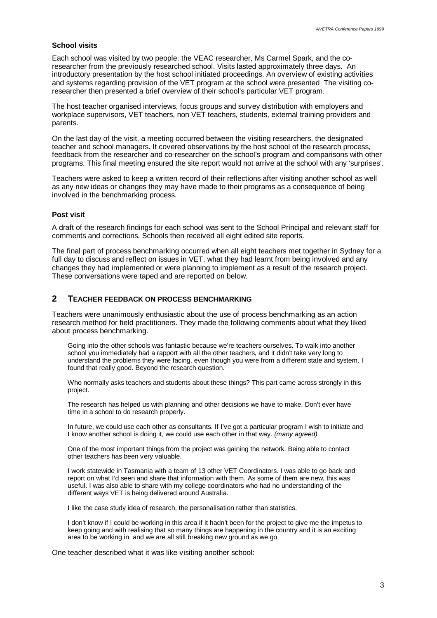#### **School visits**

Each school was visited by two people: the VEAC researcher, Ms Carmel Spark, and the coresearcher from the previously researched school. Visits lasted approximately three days. An introductory presentation by the host school initiated proceedings. An overview of existing activities and systems regarding provision of the VET program at the school were presented The visiting coresearcher then presented a brief overview of their school's particular VET program.

The host teacher organised interviews, focus groups and survey distribution with employers and workplace supervisors, VET teachers, non VET teachers, students, external training providers and parents.

On the last day of the visit, a meeting occurred between the visiting researchers, the designated teacher and school managers. It covered observations by the host school of the research process, feedback from the researcher and co-researcher on the school's program and comparisons with other programs. This final meeting ensured the site report would not arrive at the school with any 'surprises'.

Teachers were asked to keep a written record of their reflections after visiting another school as well as any new ideas or changes they may have made to their programs as a consequence of being involved in the benchmarking process.

#### **Post visit**

A draft of the research findings for each school was sent to the School Principal and relevant staff for comments and corrections. Schools then received all eight edited site reports.

The final part of process benchmarking occurred when all eight teachers met together in Sydney for a full day to discuss and reflect on issues in VET, what they had learnt from being involved and any changes they had implemented or were planning to implement as a result of the research project. These conversations were taped and are reported on below.

#### **2 TEACHER FEEDBACK ON PROCESS BENCHMARKING**

Teachers were unanimously enthusiastic about the use of process benchmarking as an action research method for field practitioners. They made the following comments about what they liked about process benchmarking.

Going into the other schools was fantastic because we're teachers ourselves. To walk into another school you immediately had a rapport with all the other teachers, and it didn't take very long to understand the problems they were facing, even though you were from a different state and system. I found that really good. Beyond the research question.

Who normally asks teachers and students about these things? This part came across strongly in this project.

The research has helped us with planning and other decisions we have to make. Don't ever have time in a school to do research properly.

In future, we could use each other as consultants. If I've got a particular program I wish to initiate and I know another school is doing it, we could use each other in that way. *(many agreed)*

One of the most important things from the project was gaining the network. Being able to contact other teachers has been very valuable.

I work statewide in Tasmania with a team of 13 other VET Coordinators. I was able to go back and report on what I'd seen and share that information with them. As some of them are new, this was useful. I was also able to share with my college coordinators who had no understanding of the different ways VET is being delivered around Australia.

I like the case study idea of research, the personalisation rather than statistics.

I don't know if I could be working in this area if it hadn't been for the project to give me the impetus to keep going and with realising that so many things are happening in the country and it is an exciting area to be working in, and we are all still breaking new ground as we go.

One teacher described what it was like visiting another school: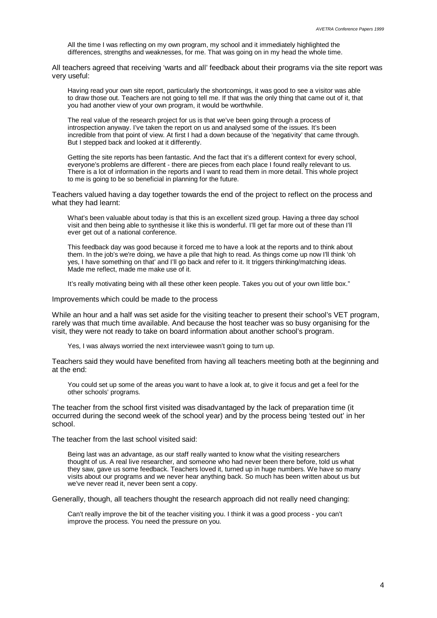All the time I was reflecting on my own program, my school and it immediately highlighted the differences, strengths and weaknesses, for me. That was going on in my head the whole time.

All teachers agreed that receiving 'warts and all' feedback about their programs via the site report was very useful:

Having read your own site report, particularly the shortcomings, it was good to see a visitor was able to draw those out. Teachers are not going to tell me. If that was the only thing that came out of it, that you had another view of your own program, it would be worthwhile.

The real value of the research project for us is that we've been going through a process of introspection anyway. I've taken the report on us and analysed some of the issues. It's been incredible from that point of view. At first I had a down because of the 'negativity' that came through. But I stepped back and looked at it differently.

Getting the site reports has been fantastic. And the fact that it's a different context for every school, everyone's problems are different - there are pieces from each place I found really relevant to us. There is a lot of information in the reports and I want to read them in more detail. This whole project to me is going to be so beneficial in planning for the future.

Teachers valued having a day together towards the end of the project to reflect on the process and what they had learnt:

What's been valuable about today is that this is an excellent sized group. Having a three day school visit and then being able to synthesise it like this is wonderful. I'll get far more out of these than I'll ever get out of a national conference.

This feedback day was good because it forced me to have a look at the reports and to think about them. In the job's we're doing, we have a pile that high to read. As things come up now I'll think 'oh yes, I have something on that' and I'll go back and refer to it. It triggers thinking/matching ideas. Made me reflect, made me make use of it.

It's really motivating being with all these other keen people. Takes you out of your own little box."

Improvements which could be made to the process

While an hour and a half was set aside for the visiting teacher to present their school's VET program, rarely was that much time available. And because the host teacher was so busy organising for the visit, they were not ready to take on board information about another school's program.

Yes, I was always worried the next interviewee wasn't going to turn up.

Teachers said they would have benefited from having all teachers meeting both at the beginning and at the end:

You could set up some of the areas you want to have a look at, to give it focus and get a feel for the other schools' programs.

The teacher from the school first visited was disadvantaged by the lack of preparation time (it occurred during the second week of the school year) and by the process being 'tested out' in her school.

The teacher from the last school visited said:

Being last was an advantage, as our staff really wanted to know what the visiting researchers thought of us. A real live researcher, and someone who had never been there before, told us what they saw, gave us some feedback. Teachers loved it, turned up in huge numbers. We have so many visits about our programs and we never hear anything back. So much has been written about us but we've never read it, never been sent a copy.

Generally, though, all teachers thought the research approach did not really need changing:

Can't really improve the bit of the teacher visiting you. I think it was a good process - you can't improve the process. You need the pressure on you.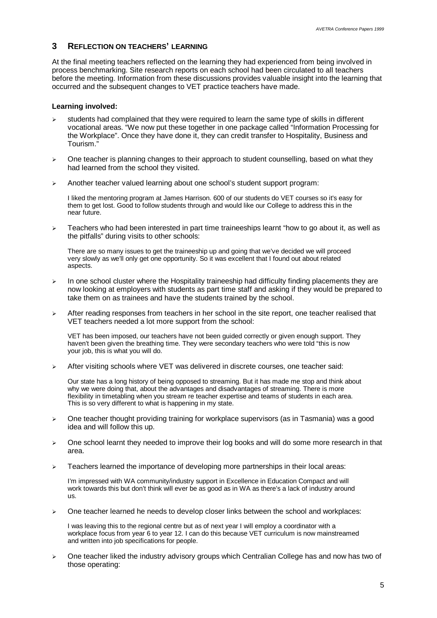### **3 REFLECTION ON TEACHERS' LEARNING**

At the final meeting teachers reflected on the learning they had experienced from being involved in process benchmarking. Site research reports on each school had been circulated to all teachers before the meeting. Information from these discussions provides valuable insight into the learning that occurred and the subsequent changes to VET practice teachers have made.

#### **Learning involved:**

- students had complained that they were required to learn the same type of skills in different vocational areas. "We now put these together in one package called "Information Processing for the Workplace". Once they have done it, they can credit transfer to Hospitality, Business and Tourism."
- $\triangleright$  One teacher is planning changes to their approach to student counselling, based on what they had learned from the school they visited.
- $\geq$  Another teacher valued learning about one school's student support program:

I liked the mentoring program at James Harrison. 600 of our students do VET courses so it's easy for them to get lost. Good to follow students through and would like our College to address this in the near future.

 $\triangleright$  Teachers who had been interested in part time traineeships learnt "how to go about it, as well as the pitfalls" during visits to other schools:

There are so many issues to get the traineeship up and going that we've decided we will proceed very slowly as we'll only get one opportunity. So it was excellent that I found out about related aspects.

- $\triangleright$  In one school cluster where the Hospitality traineeship had difficulty finding placements they are now looking at employers with students as part time staff and asking if they would be prepared to take them on as trainees and have the students trained by the school.
- $\triangleright$  After reading responses from teachers in her school in the site report, one teacher realised that VET teachers needed a lot more support from the school:

VET has been imposed, our teachers have not been guided correctly or given enough support. They haven't been given the breathing time. They were secondary teachers who were told "this is now your job, this is what you will do.

 $\triangleright$  After visiting schools where VET was delivered in discrete courses, one teacher said:

Our state has a long history of being opposed to streaming. But it has made me stop and think about why we were doing that, about the advantages and disadvantages of streaming. There is more flexibility in timetabling when you stream re teacher expertise and teams of students in each area. This is so very different to what is happening in my state.

- $\triangleright$  One teacher thought providing training for workplace supervisors (as in Tasmania) was a good idea and will follow this up.
- $\triangleright$  One school learnt they needed to improve their log books and will do some more research in that area.
- $\geq$  Teachers learned the importance of developing more partnerships in their local areas:

I'm impressed with WA community/industry support in Excellence in Education Compact and will work towards this but don't think will ever be as good as in WA as there's a lack of industry around us.

 $\triangleright$  One teacher learned he needs to develop closer links between the school and workplaces:

I was leaving this to the regional centre but as of next year I will employ a coordinator with a workplace focus from year 6 to year 12. I can do this because VET curriculum is now mainstreamed and written into job specifications for people.

 $\geq$  One teacher liked the industry advisory groups which Centralian College has and now has two of those operating: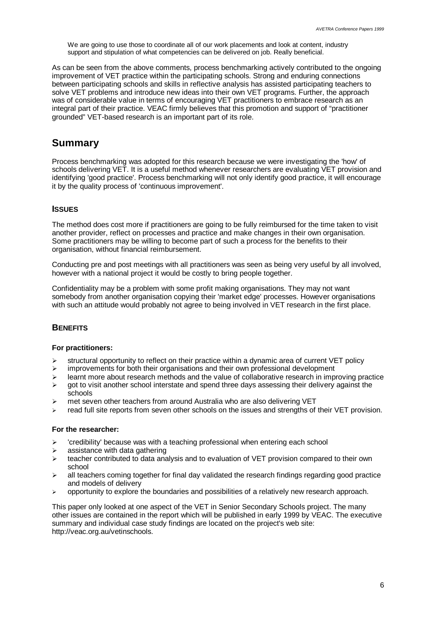We are going to use those to coordinate all of our work placements and look at content, industry support and stipulation of what competencies can be delivered on job. Really beneficial.

As can be seen from the above comments, process benchmarking actively contributed to the ongoing improvement of VET practice within the participating schools. Strong and enduring connections between participating schools and skills in reflective analysis has assisted participating teachers to solve VET problems and introduce new ideas into their own VET programs. Further, the approach was of considerable value in terms of encouraging VET practitioners to embrace research as an integral part of their practice. VEAC firmly believes that this promotion and support of "practitioner grounded" VET-based research is an important part of its role.

# **Summary**

Process benchmarking was adopted for this research because we were investigating the 'how' of schools delivering VET. It is a useful method whenever researchers are evaluating VET provision and identifying 'good practice'. Process benchmarking will not only identify good practice, it will encourage it by the quality process of 'continuous improvement'.

#### **ISSUES**

The method does cost more if practitioners are going to be fully reimbursed for the time taken to visit another provider, reflect on processes and practice and make changes in their own organisation. Some practitioners may be willing to become part of such a process for the benefits to their organisation, without financial reimbursement.

Conducting pre and post meetings with all practitioners was seen as being very useful by all involved, however with a national project it would be costly to bring people together.

Confidentiality may be a problem with some profit making organisations. They may not want somebody from another organisation copying their 'market edge' processes. However organisations with such an attitude would probably not agree to being involved in VET research in the first place.

### **BENEFITS**

#### **For practitioners:**

- $\geq$  structural opportunity to reflect on their practice within a dynamic area of current VET policy
- $\geq$  improvements for both their organisations and their own professional development
- $\ge$  learnt more about research methods and the value of collaborative research in improving practice
- $\triangleright$  got to visit another school interstate and spend three days assessing their delivery against the schools
- $\geq$  met seven other teachers from around Australia who are also delivering VET
- read full site reports from seven other schools on the issues and strengths of their VET provision.

#### **For the researcher:**

- $\geq$  'credibility' because was with a teaching professional when entering each school
- $\triangleright$  assistance with data gathering
- $\triangleright$  teacher contributed to data analysis and to evaluation of VET provision compared to their own school
- $\ge$  all teachers coming together for final day validated the research findings regarding good practice and models of delivery
- $\geq$  opportunity to explore the boundaries and possibilities of a relatively new research approach.

This paper only looked at one aspect of the VET in Senior Secondary Schools project. The many other issues are contained in the report which will be published in early 1999 by VEAC. The executive summary and individual case study findings are located on the project's web site: http://veac.org.au/vetinschools.